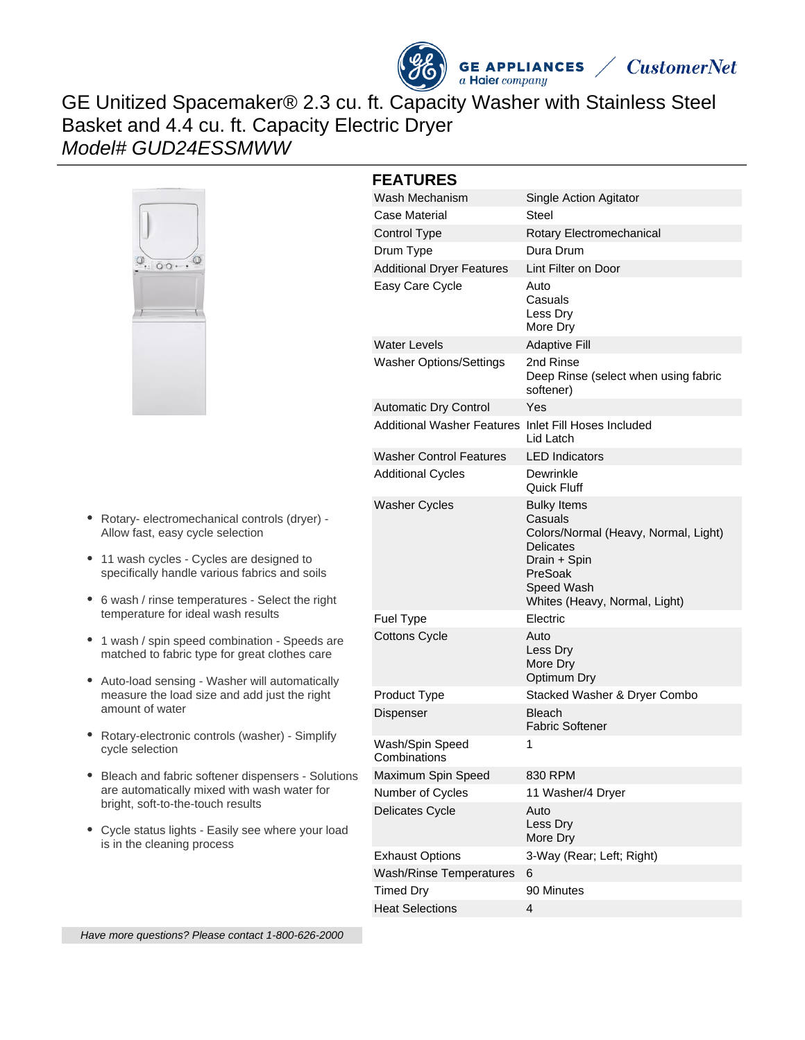

**GE APPLIANCES**  $a$  Haier company



GE Unitized Spacemaker® 2.3 cu. ft. Capacity Washer with Stainless Steel Basket and 4.4 cu. ft. Capacity Electric Dryer Model# GUD24ESSMWW



- Rotary- electromechanical controls (dryer) Allow fast, easy cycle selection
- 11 wash cycles Cycles are designed to specifically handle various fabrics and soils
- 6 wash / rinse temperatures Select the right temperature for ideal wash results
- 1 wash / spin speed combination Speeds are matched to fabric type for great clothes care
- Auto-load sensing Washer will automatically measure the load size and add just the right amount of water
- Rotary-electronic controls (washer) Simplify cycle selection
- Bleach and fabric softener dispensers Solutions are automatically mixed with wash water for bright, soft-to-the-touch results
- Cycle status lights Easily see where your load is in the cleaning process

# **FEATURES**

| FEAIURES                         |                                                                                                                                                                     |
|----------------------------------|---------------------------------------------------------------------------------------------------------------------------------------------------------------------|
| Wash Mechanism                   | Single Action Agitator                                                                                                                                              |
| Case Material                    | Steel                                                                                                                                                               |
| Control Type                     | Rotary Electromechanical                                                                                                                                            |
| Drum Type                        | Dura Drum                                                                                                                                                           |
| <b>Additional Dryer Features</b> | Lint Filter on Door                                                                                                                                                 |
| Easy Care Cycle                  | Auto<br>Casuals<br>Less Dry<br>More Dry                                                                                                                             |
| Water Levels                     | <b>Adaptive Fill</b>                                                                                                                                                |
| <b>Washer Options/Settings</b>   | 2nd Rinse<br>Deep Rinse (select when using fabric<br>softener)                                                                                                      |
| Automatic Dry Control            | Yes                                                                                                                                                                 |
| Additional Washer Features       | Inlet Fill Hoses Included<br>Lid Latch                                                                                                                              |
| <b>Washer Control Features</b>   | <b>LED</b> Indicators                                                                                                                                               |
| <b>Additional Cycles</b>         | Dewrinkle<br>Quick Fluff                                                                                                                                            |
| Washer Cycles                    | <b>Bulky Items</b><br>Casuals<br>Colors/Normal (Heavy, Normal, Light)<br><b>Delicates</b><br>Drain + Spin<br>PreSoak<br>Speed Wash<br>Whites (Heavy, Normal, Light) |
| Fuel Type                        | Electric                                                                                                                                                            |
| <b>Cottons Cycle</b>             | Auto<br>Less Dry<br>More Dry<br>Optimum Dry                                                                                                                         |
| Product Type                     | Stacked Washer & Dryer Combo                                                                                                                                        |
| Dispenser                        | <b>Bleach</b><br><b>Fabric Softener</b>                                                                                                                             |
| Wash/Spin Speed<br>Combinations  | 1                                                                                                                                                                   |
| Maximum Spin Speed               | 830 RPM                                                                                                                                                             |
| Number of Cycles                 | 11 Washer/4 Dryer                                                                                                                                                   |
| Delicates Cycle                  | Auto<br>Less Dry<br>More Dry                                                                                                                                        |
| <b>Exhaust Options</b>           | 3-Way (Rear; Left; Right)                                                                                                                                           |
| <b>Wash/Rinse Temperatures</b>   | 6                                                                                                                                                                   |
| <b>Timed Dry</b>                 | 90 Minutes                                                                                                                                                          |
| <b>Heat Selections</b>           | 4                                                                                                                                                                   |

Have more questions? Please contact 1-800-626-2000